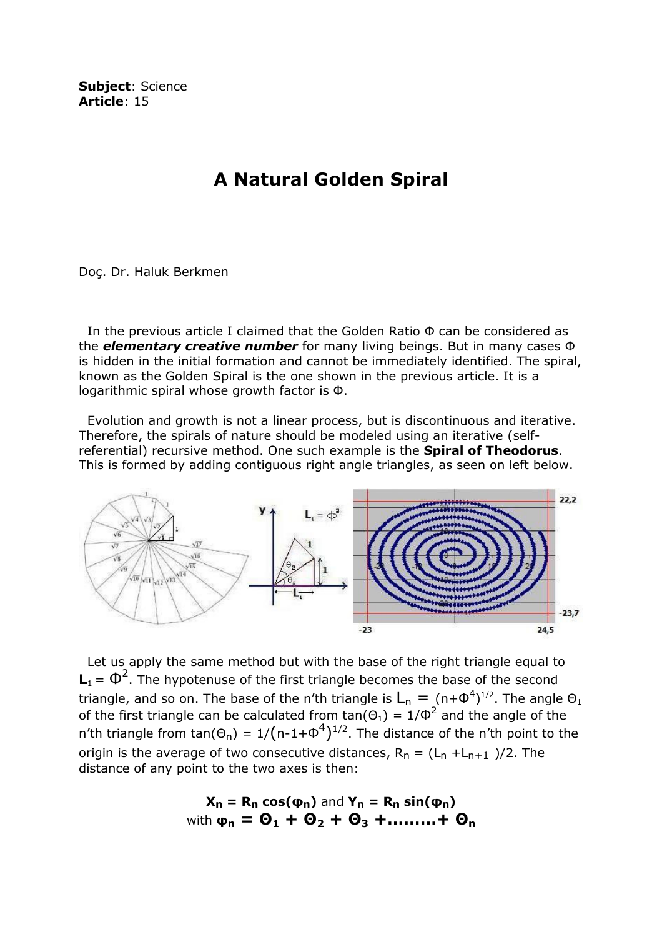Subject: Science Article: 15

## A Natural Golden Spiral

Doç. Dr. Haluk Berkmen

 In the previous article I claimed that the Golden Ratio Φ can be considered as the **elementary creative number** for many living beings. But in many cases  $\Phi$ is hidden in the initial formation and cannot be immediately identified. The spiral, known as the Golden Spiral is the one shown in the previous article. It is a logarithmic spiral whose growth factor is Φ.

 Evolution and growth is not a linear process, but is discontinuous and iterative. Therefore, the spirals of nature should be modeled using an iterative (selfreferential) recursive method. One such example is the **Spiral of Theodorus**. This is formed by adding contiguous right angle triangles, as seen on left below.



 Let us apply the same method but with the base of the right triangle equal to  $\mathbf{L}_1 = \mathbf{\Phi}^2$ . The hypotenuse of the first triangle becomes the base of the second triangle, and so on. The base of the n'th triangle is  $L_n = (n+\Phi^4)^{1/2}$ . The angle  $\Theta_1$ of the first triangle can be calculated from tan( $\Theta_1$ ) = 1/ $\Phi^2$  and the angle of the n'th triangle from tan $(\Theta_n) = 1/(n-1+\Phi^4)^{1/2}$ . The distance of the n'th point to the origin is the average of two consecutive distances,  $R_n = (L_n + L_{n+1})/2$ . The distance of any point to the two axes is then:

$$
X_n = R_n \cos(\varphi_n) \text{ and } Y_n = R_n \sin(\varphi_n)
$$
  
with  $\varphi_n = \Theta_1 + \Theta_2 + \Theta_3 + \dots + \Theta_n$